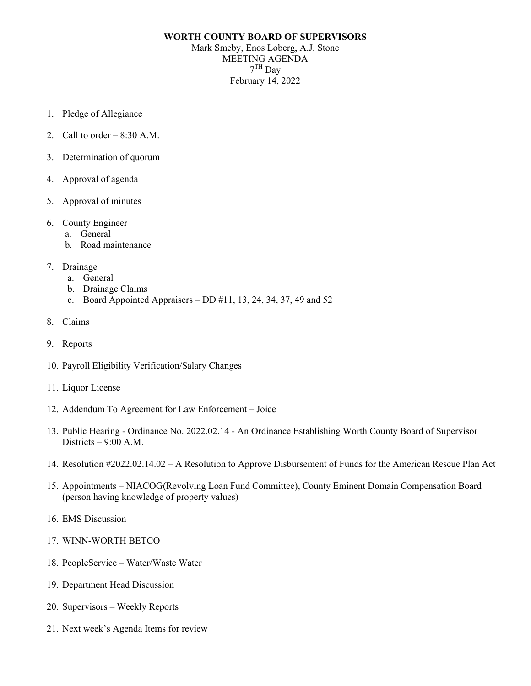## **WORTH COUNTY BOARD OF SUPERVISORS** Mark Smeby, Enos Loberg, A.J. Stone MEETING AGENDA 7TH Day February 14, 2022

- 1. Pledge of Allegiance
- 2. Call to order  $-8:30$  A.M.
- 3. Determination of quorum
- 4. Approval of agenda
- 5. Approval of minutes
- 6. County Engineer
	- a. General
	- b. Road maintenance
- 7. Drainage
	- a. General
	- b. Drainage Claims
	- c. Board Appointed Appraisers DD  $\#11$ , 13, 24, 34, 37, 49 and 52
- 8. Claims
- 9. Reports
- 10. Payroll Eligibility Verification/Salary Changes
- 11. Liquor License
- 12. Addendum To Agreement for Law Enforcement Joice
- 13. Public Hearing Ordinance No. 2022.02.14 An Ordinance Establishing Worth County Board of Supervisor Districts – 9:00 A.M.
- 14. Resolution #2022.02.14.02 A Resolution to Approve Disbursement of Funds for the American Rescue Plan Act
- 15. Appointments NIACOG(Revolving Loan Fund Committee), County Eminent Domain Compensation Board (person having knowledge of property values)
- 16. EMS Discussion
- 17. WINN-WORTH BETCO
- 18. PeopleService Water/Waste Water
- 19. Department Head Discussion
- 20. Supervisors Weekly Reports
- 21. Next week's Agenda Items for review